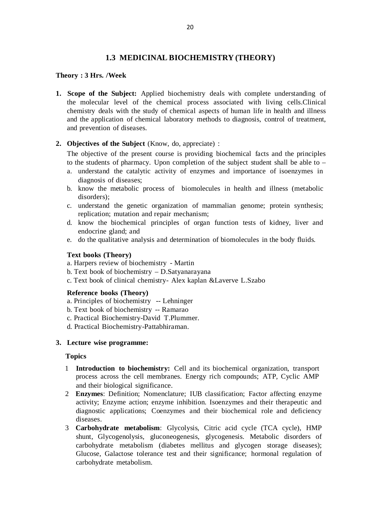# **1.3 MEDICINAL BIOCHEMISTRY (THEORY)**

### **Theory : 3 Hrs. /Week**

**1. Scope of the Subject:** Applied biochemistry deals with complete understanding of the molecular level of the chemical process associated with living cells.Clinical chemistry deals with the study of chemical aspects of human life in health and illness and the application of chemical laboratory methods to diagnosis, control of treatment, and prevention of diseases.

## **2. Objectives of the Subject** (Know, do, appreciate) :

The objective of the present course is providing biochemical facts and the principles to the students of pharmacy. Upon completion of the subject student shall be able to –

- a. understand the catalytic activity of enzymes and importance of isoenzymes in diagnosis of diseases;
- b. know the metabolic process of biomolecules in health and illness (metabolic disorders);
- c. understand the genetic organization of mammalian genome; protein synthesis; replication; mutation and repair mechanism;
- d. know the biochemical principles of organ function tests of kidney, liver and endocrine gland; and
- e. do the qualitative analysis and determination of biomolecules in the body fluids.

## **Text books (Theory)**

- a. Harpers review of biochemistry Martin
- b. Text book of biochemistry D.Satyanarayana
- c. Text book of clinical chemistry- Alex kaplan &Laverve L.Szabo

## **Reference books (Theory)**

- a. Principles of biochemistry -- Lehninger
- b. Text book of biochemistry -- Ramarao
- c. Practical Biochemistry-David T.Plummer.
- d. Practical Biochemistry-Pattabhiraman.

## **3. Lecture wise programme:**

### **Topics**

- 1 **Introduction to biochemistry:** Cell and its biochemical organization, transport process across the cell membranes. Energy rich compounds; ATP, Cyclic AMP and their biological significance.
- 2 **Enzymes**: Definition; Nomenclature; IUB classification; Factor affecting enzyme activity; Enzyme action; enzyme inhibition. Isoenzymes and their therapeutic and diagnostic applications; Coenzymes and their biochemical role and deficiency diseases.
- 3 **Carbohydrate metabolism**: Glycolysis, Citric acid cycle (TCA cycle), HMP shunt, Glycogenolysis, gluconeogenesis, glycogenesis. Metabolic disorders of carbohydrate metabolism (diabetes mellitus and glycogen storage diseases); Glucose, Galactose tolerance test and their significance; hormonal regulation of carbohydrate metabolism.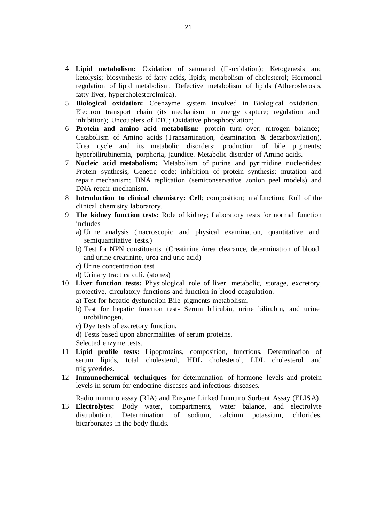- 4 Lipid metabolism: Oxidation of saturated ( $\square$ -oxidation); Ketogenesis and ketolysis; biosynthesis of fatty acids, lipids; metabolism of cholesterol; Hormonal regulation of lipid metabolism. Defective metabolism of lipids (Atheroslerosis, fatty liver, hypercholesterolmiea).
- 5 **Biological oxidation:** Coenzyme system involved in Biological oxidation. Electron transport chain (its mechanism in energy capture; regulation and inhibition); Uncouplers of ETC; Oxidative phosphorylation;
- 6 **Protein and amino acid metabolism:** protein turn over; nitrogen balance; Catabolism of Amino acids (Transamination, deamination & decarboxylation). Urea cycle and its metabolic disorders; production of bile pigments; hyperbilirubinemia, porphoria, jaundice. Metabolic disorder of Amino acids.
- 7 **Nucleic acid metabolism:** Metabolism of purine and pyrimidine nucleotides; Protein synthesis; Genetic code; inhibition of protein synthesis; mutation and repair mechanism; DNA replication (semiconservative /onion peel models) and DNA repair mechanism.
- 8 **Introduction to clinical chemistry: Cell**; composition; malfunction; Roll of the clinical chemistry laboratory.
- 9 **The kidney function tests:** Role of kidney; Laboratory tests for normal function includes
	- a) Urine analysis (macroscopic and physical examination, quantitative and semiquantitative tests.)
	- b) Test for NPN constituents. (Creatinine /urea clearance, determination of blood and urine creatinine, urea and uric acid)
	- c) Urine concentration test
	- d) Urinary tract calculi. (stones)
- 10 **Liver function tests:** Physiological role of liver, metabolic, storage, excretory, protective, circulatory functions and function in blood coagulation.
	- a) Test for hepatic dysfunction-Bile pigments metabolism.
	- b) Test for hepatic function test- Serum bilirubin, urine bilirubin, and urine urobilinogen.
	- c) Dye tests of excretory function.
	- d) Tests based upon abnormalities of serum proteins.
	- Selected enzyme tests.
- 11 **Lipid profile tests:** Lipoproteins, composition, functions. Determination of serum lipids, total cholesterol, HDL cholesterol, LDL cholesterol and triglycerides.
- 12 **Immunochemical techniques** for determination of hormone levels and protein levels in serum for endocrine diseases and infectious diseases.

Radio immuno assay (RIA) and Enzyme Linked Immuno Sorbent Assay (ELISA)

13 **Electrolytes:** Body water, compartments, water balance, and electrolyte distrubution. Determination of sodium, calcium potassium, chlorides, bicarbonates in the body fluids.